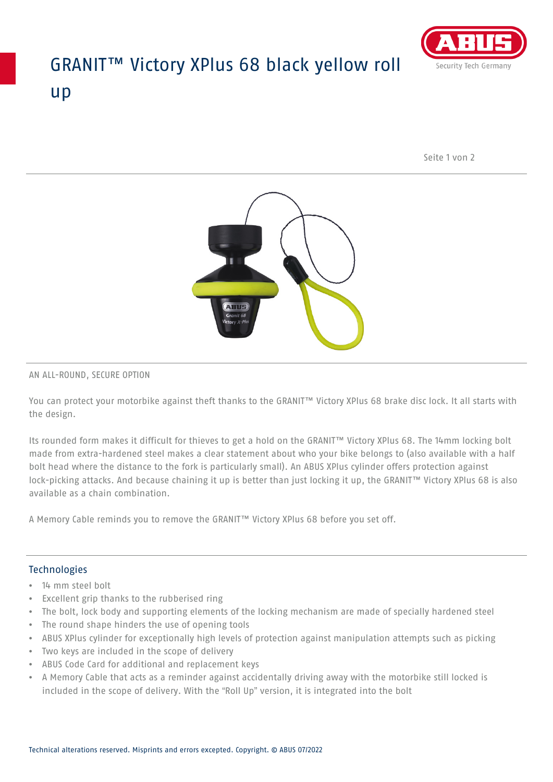# GRANIT™ Victory XPlus 68 black yellow roll up



Seite 1 von 2



### AN ALL-ROUND, SECURE OPTION

You can protect your motorbike against theft thanks to the GRANIT<sup>™</sup> Victory XPlus 68 brake disc lock. It all starts with the design.

Its rounded form makes it difficult for thieves to get a hold on the GRANIT™ Victory XPlus 68. The 14mm locking bolt made from extra-hardened steel makes a clear statement about who your bike belongs to (also available with a half bolt head where the distance to the fork is particularly small). An ABUS XPlus cylinder offers protection against lock-picking attacks. And because chaining it up is better than just locking it up, the GRANIT™ Victory XPlus 68 is also available as a chain combination.

A Memory Cable reminds you to remove the GRANIT™ Victory XPlus 68 before you set off.

#### **Technologies**

- 14 mm steel bolt
- Excellent grip thanks to the rubberised ring
- The bolt, lock body and supporting elements of the locking mechanism are made of specially hardened steel
- The round shape hinders the use of opening tools
- ABUS XPlus cylinder for exceptionally high levels of protection against manipulation attempts such as picking
- Two keys are included in the scope of delivery
- ABUS Code Card for additional and replacement keys
- A Memory Cable that acts as a reminder against accidentally driving away with the motorbike still locked is included in the scope of delivery. With the "Roll Up" version, it is integrated into the bolt